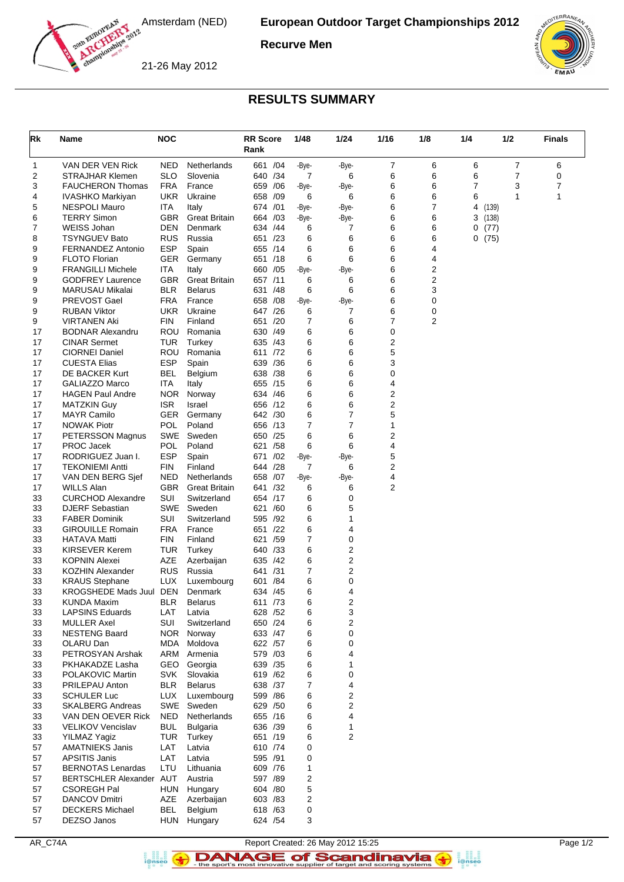

**Recurve Men**

21-26 May 2012



## **RESULTS SUMMARY**

| Rk       | Name                                           | <b>NOC</b>               |                      | <b>RR Score</b><br>Rank |     | 1/48   | 1/24        | 1/16                    | 1/8    | 1/4        | 1/2   | <b>Finals</b> |
|----------|------------------------------------------------|--------------------------|----------------------|-------------------------|-----|--------|-------------|-------------------------|--------|------------|-------|---------------|
| 1        | VAN DER VEN Rick                               | NED                      | Netherlands          | 661                     | /04 | -Bye-  | -Bye-       | 7                       | 6      | 6          | 7     | 6             |
| 2        | STRAJHAR Klemen                                | SLO                      | Slovenia             | 640 / 34                |     | 7      | 6           | 6                       | 6      | 6          | 7     | 0             |
| 3        | <b>FAUCHERON Thomas</b>                        | <b>FRA</b>               | France               | 659                     | /06 | -Bye-  | -Bye-       | 6                       | 6      | 7          | 3     | 7             |
| 4        | IVASHKO Markiyan                               | UKR                      | Ukraine              | 658                     | /09 | 6      | 6           | 6                       | 6      | 6          | 1     | 1             |
| 5        | <b>NESPOLI Mauro</b>                           | ITA                      | Italy                | 674 /01                 |     | -Bye-  | -Bye-       | 6                       | 7      | 4          | (139) |               |
| 6        | <b>TERRY Simon</b><br><b>WEISS Johan</b>       | GBR<br>DEN               | <b>Great Britain</b> | 664 / 03                | /44 | -Bye-  | -Bye-       | 6<br>6                  | 6      | 3          | (138) |               |
| 7<br>8   | <b>TSYNGUEV Bato</b>                           | <b>RUS</b>               | Denmark<br>Russia    | 634<br>651 /23          |     | 6<br>6 | 7<br>6      | 6                       | 6<br>6 | 0<br>0(75) | (77)  |               |
| 9        | <b>FERNANDEZ Antonio</b>                       | <b>ESP</b>               | Spain                | 655 /14                 |     | 6      | 6           | 6                       | 4      |            |       |               |
| 9        | <b>FLOTO Florian</b>                           | GER                      | Germany              | 651 /18                 |     | 6      | 6           | 6                       | 4      |            |       |               |
| 9        | <b>FRANGILLI Michele</b>                       | ITA                      | Italy                | 660 / 05                |     | -Bye-  | -Bye-       | 6                       | 2      |            |       |               |
| 9        | <b>GODFREY Laurence</b>                        | GBR                      | <b>Great Britain</b> | 657 /11                 |     | 6      | 6           | 6                       | 2      |            |       |               |
| 9        | <b>MARUSAU Mikalai</b>                         | <b>BLR</b>               | <b>Belarus</b>       | 631                     | /48 | 6      | 6           | 6                       | 3      |            |       |               |
| 9        | PREVOST Gael                                   | FRA                      | France               | 658 / 08                |     | -Bye-  | -Bye-       | 6                       | 0      |            |       |               |
| 9        | <b>RUBAN Viktor</b>                            | <b>UKR</b>               | Ukraine              | 647 /26                 |     | 6      | 7           | 6                       | 0      |            |       |               |
| 9        | <b>VIRTANEN Aki</b>                            | FIN                      | Finland              | 651                     | /20 | 7      | 6           | 7                       | 2      |            |       |               |
| 17<br>17 | <b>BODNAR Alexandru</b><br><b>CINAR Sermet</b> | ROU<br>TUR               | Romania<br>Turkey    | 630 /49<br>635 /43      |     | 6<br>6 | 6<br>6      | 0<br>2                  |        |            |       |               |
| 17       | <b>CIORNEI Daniel</b>                          | <b>ROU</b>               | Romania              | 611 /72                 |     | 6      | 6           | 5                       |        |            |       |               |
| 17       | <b>CUESTA Elias</b>                            | <b>ESP</b>               | Spain                | 639 / 36                |     | 6      | 6           | 3                       |        |            |       |               |
| 17       | DE BACKER Kurt                                 | BEL                      | Belgium              | 638                     | /38 | 6      | 6           | 0                       |        |            |       |               |
| 17       | <b>GALIAZZO Marco</b>                          | <b>ITA</b>               | Italy                | 655 /15                 |     | 6      | 6           | 4                       |        |            |       |               |
| 17       | <b>HAGEN Paul Andre</b>                        | NOR.                     | Norway               | 634 / 46                |     | 6      | 6           | 2                       |        |            |       |               |
| 17       | <b>MATZKIN Guy</b>                             | <b>ISR</b>               | Israel               | 656 /12                 |     | 6      | 6           | $\overline{\mathbf{c}}$ |        |            |       |               |
| 17       | <b>MAYR Camilo</b>                             | <b>GER</b>               | Germany              | 642 /30                 |     | 6      | 7           | 5                       |        |            |       |               |
| 17       | <b>NOWAK Piotr</b>                             | POL                      | Poland               | 656 /13                 |     | 7      | 7           | 1                       |        |            |       |               |
| 17<br>17 | PETERSSON Magnus<br>PROC Jacek                 | SWE<br>POL               | Sweden<br>Poland     | 650 /25<br>621          | /58 | 6<br>6 | 6<br>6      | 2<br>4                  |        |            |       |               |
| 17       | RODRIGUEZ Juan I.                              | <b>ESP</b>               | Spain                | 671                     | /02 | -Bye-  | -Bye-       | 5                       |        |            |       |               |
| 17       | <b>TEKONIEMI Antti</b>                         | FIN                      | Finland              | 644                     | /28 | 7      | 6           | 2                       |        |            |       |               |
| 17       | VAN DEN BERG Sjef                              | NED                      | Netherlands          | 658 /07                 |     | -Bye-  | -Bye-       | 4                       |        |            |       |               |
| 17       | <b>WILLS Alan</b>                              | GBR                      | <b>Great Britain</b> | 641 /32                 |     | 6      | 6           | 2                       |        |            |       |               |
| 33       | <b>CURCHOD Alexandre</b>                       | SUI                      | Switzerland          | 654 /17                 |     | 6      | 0           |                         |        |            |       |               |
| 33       | <b>DJERF Sebastian</b>                         | SWE                      | Sweden               | 621                     | /60 | 6      | 5           |                         |        |            |       |               |
| 33       | <b>FABER Dominik</b>                           | SUI                      | Switzerland          | 595 /92                 |     | 6      | 1           |                         |        |            |       |               |
| 33<br>33 | <b>GIROUILLE Romain</b><br><b>HATAVA Matti</b> | <b>FRA</b><br><b>FIN</b> | France<br>Finland    | 651<br>621 /59          | /22 | 6<br>7 | 4<br>0      |                         |        |            |       |               |
| 33       | <b>KIRSEVER Kerem</b>                          | TUR                      | Turkey               | 640                     | /33 | 6      | 2           |                         |        |            |       |               |
| 33       | <b>KOPNIN Alexei</b>                           | AZE                      | Azerbaijan           | 635                     | /42 | 6      | $\mathbf 2$ |                         |        |            |       |               |
| 33       | <b>KOZHIN Alexander</b>                        | <b>RUS</b>               | Russia               | 641 /31                 |     | 7      | 2           |                         |        |            |       |               |
| 33       | <b>KRAUS Stephane</b>                          | LUX                      | Luxembourg           | 601                     | /84 | 6      | 0           |                         |        |            |       |               |
| 33       | KROGSHEDE Mads Juul                            | DEN                      | Denmark              | 634 /45                 |     | 6      | 4           |                         |        |            |       |               |
| 33       | <b>KUNDA Maxim</b>                             | <b>BLR</b>               | <b>Belarus</b>       | 611 /73                 |     | 6      | 2           |                         |        |            |       |               |
| 33       | <b>LAPSINS Eduards</b>                         | LAT                      | Latvia               | 628 /52                 |     | 6      | 3           |                         |        |            |       |               |
| 33       | <b>MULLER Axel</b>                             | SUI                      | Switzerland          | 650 /24                 |     | 6      | 2           |                         |        |            |       |               |
| 33<br>33 | <b>NESTENG Baard</b><br>OLARU Dan              | NOR<br>MDA               | Norway<br>Moldova    | 633 / 47<br>622 /57     |     | 6<br>6 | 0<br>0      |                         |        |            |       |               |
| 33       | PETROSYAN Arshak                               | ARM                      | Armenia              | 579 /03                 |     | 6      | 4           |                         |        |            |       |               |
| 33       | PKHAKADZE Lasha                                |                          | GEO Georgia          | 639 /35                 |     | 6      | 1           |                         |        |            |       |               |
| 33       | POLAKOVIC Martin                               | SVK                      | Slovakia             | 619 /62                 |     | 6      | 0           |                         |        |            |       |               |
| 33       | PRILEPAU Anton                                 | <b>BLR</b>               | <b>Belarus</b>       | 638 /37                 |     | 7      | 4           |                         |        |            |       |               |
| 33       | <b>SCHULER Luc</b>                             | LUX                      | Luxembourg           | 599 / 86                |     | 6      | 2           |                         |        |            |       |               |
| 33       | <b>SKALBERG Andreas</b>                        |                          | SWE Sweden           | 629 / 50                |     | 6      | 2           |                         |        |            |       |               |
| 33       | VAN DEN OEVER Rick                             | NED                      | <b>Netherlands</b>   | 655 /16                 |     | 6      | 4           |                         |        |            |       |               |
| 33       | <b>VELIKOV Vencislav</b>                       | BUL                      | <b>Bulgaria</b>      | 636 /39                 |     | 6      | 1           |                         |        |            |       |               |
| 33       | <b>YILMAZ Yagiz</b>                            | TUR                      | Turkey               | 651 /19                 |     | 6      | 2           |                         |        |            |       |               |
| 57<br>57 | <b>AMATNIEKS Janis</b><br>APSITIS Janis        | LAT<br>LAT               | Latvia<br>Latvia     | 610 /74<br>595 /91      |     | 0<br>0 |             |                         |        |            |       |               |
| 57       | <b>BERNOTAS Lenardas</b>                       | LTU                      | Lithuania            | 609 /76                 |     | 1      |             |                         |        |            |       |               |
| 57       | <b>BERTSCHLER Alexander</b>                    | AUT                      | Austria              | 597 /89                 |     | 2      |             |                         |        |            |       |               |
| 57       | <b>CSOREGH Pal</b>                             | HUN                      | Hungary              | 604 /80                 |     | 5      |             |                         |        |            |       |               |
| 57       | <b>DANCOV Dmitri</b>                           | AZE                      | Azerbaijan           | 603 /83                 |     | 2      |             |                         |        |            |       |               |
| 57       | <b>DECKERS Michael</b>                         | <b>BEL</b>               | Belgium              | 618 /63                 |     | 0      |             |                         |        |            |       |               |
| 57       | DEZSO Janos                                    |                          | HUN Hungary          | 624 / 54                |     | 3      |             |                         |        |            |       |               |

 $\left( \biguparrow$ 

AR\_C74A Report Created: 26 May 2012 15:25 Page 1/2 DANAGE of Scandinavia